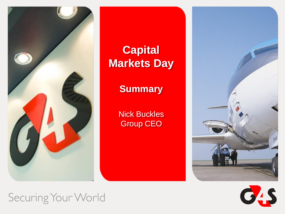

**Capital Markets Day**

**Summary** 

Nick Buckles Group CEO





Securing Your World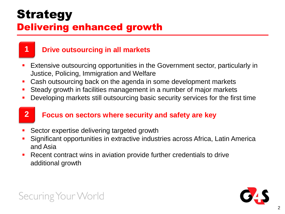## **Strategy** Delivering enhanced growth



### **1 Drive outsourcing in all markets**

- Extensive outsourcing opportunities in the Government sector, particularly in Justice, Policing, Immigration and Welfare
- **Cash outsourcing back on the agenda in some development markets**
- Steady growth in facilities management in a number of major markets
- Developing markets still outsourcing basic security services for the first time

### **2 Focus on sectors where security and safety are key**

- Sector expertise delivering targeted growth
- Significant opportunities in extractive industries across Africa, Latin America and Asia
- Recent contract wins in aviation provide further credentials to drive additional growth

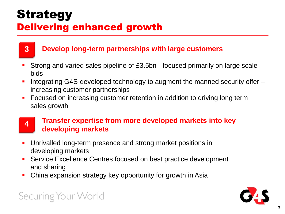### **Strategy** Delivering enhanced growth



### **3 Develop long-term partnerships with large customers**

- Strong and varied sales pipeline of £3.5bn focused primarily on large scale bids
- Integrating G4S-developed technology to augment the manned security offer increasing customer partnerships
- Focused on increasing customer retention in addition to driving long term sales growth

## **4**

#### **Transfer expertise from more developed markets into key developing markets**

- Unrivalled long-term presence and strong market positions in developing markets
- **Service Excellence Centres focused on best practice development** and sharing
- China expansion strategy key opportunity for growth in Asia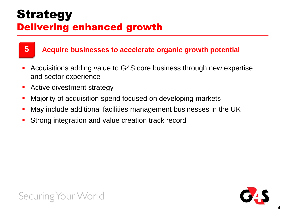## **Strategy** Delivering enhanced growth



#### **5 Acquire businesses to accelerate organic growth potential**

- Acquisitions adding value to G4S core business through new expertise and sector experience
- **Active divestment strategy**
- Majority of acquisition spend focused on developing markets
- May include additional facilities management businesses in the UK
- Strong integration and value creation track record



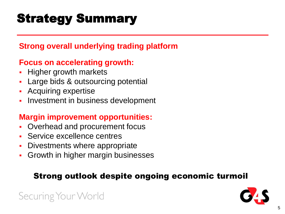## Strategy Summary

### **Strong overall underlying trading platform**

### **Focus on accelerating growth:**

- Higher growth markets
- Large bids & outsourcing potential
- **Acquiring expertise**
- Investment in business development

### **Margin improvement opportunities:**

- **-** Overhead and procurement focus
- **Service excellence centres**
- Divestments where appropriate
- Growth in higher margin businesses

### Strong outlook despite ongoing economic turmoil

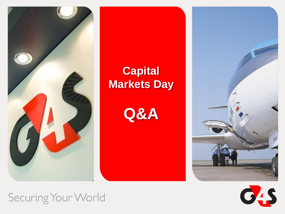

## **Capital Markets Day**

**Q&A**





Securing Your World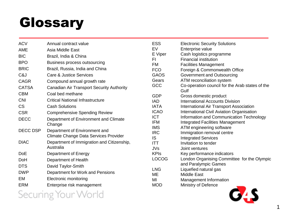# Glossary

| <b>ACV</b>      | Annual contract value                      | <b>ESS</b>               | <b>Electronic Security Solutions</b>                         |
|-----------------|--------------------------------------------|--------------------------|--------------------------------------------------------------|
| <b>AME</b>      | Asia Middle East                           | EV                       | Enterprise value                                             |
| <b>BIC</b>      | Brazil, India & China                      | E Viper                  | Cash logistics programme                                     |
| <b>BPO</b>      | <b>Business process outsourcing</b>        | FI<br>FM                 | <b>Financial institution</b><br><b>Facilities Management</b> |
| <b>BRIC</b>     | Brazil, Russia, India and China            | <b>FCO</b>               | Foreign & Commonwealth Office                                |
| C&J             | Care & Justice Services                    | <b>GAOS</b>              | Government and Outsourcing                                   |
| <b>CAGR</b>     | Compound annual growth rate                | Gears                    | ATM reconciliation system                                    |
| <b>CATSA</b>    | Canadian Air Transport Security Authority  | <b>GCC</b>               | Co-operation council for the Arab states of the<br>Gulf      |
| <b>CBM</b>      | Coal bed methane                           | <b>GDP</b>               | Gross domestic product                                       |
| <b>CNI</b>      | <b>Critical National Infrastructure</b>    | <b>IAD</b>               | <b>International Accounts Division</b>                       |
| <b>CS</b>       | <b>Cash Solutions</b>                      | <b>IATA</b>              | International Air Transport Association                      |
| <b>CSR</b>      | <b>Comprehensive Spending Review</b>       | <b>ICAO</b>              | International Civil Aviation Organisation                    |
| <b>DECC</b>     | Department of Environment and Climate      | <b>ICT</b>               | Information and Communication Technology                     |
|                 | Change                                     | <b>IFM</b>               | <b>Integrated Facilities Management</b>                      |
| <b>DECC DSP</b> | Department of Environment and              | <b>IMS</b><br><b>IRC</b> | ATM engineering software<br>Immigration removal centre       |
|                 | Climate Change Data Services Provider      | IS                       | <b>Integrated Services</b>                                   |
| <b>DIAC</b>     | Department of Immigration and Citizenship, | <b>ITT</b>               | Invitation to tender                                         |
|                 | Australia                                  | <b>JVs</b>               | Joint ventures                                               |
| <b>DoE</b>      | Department of Energy                       | <b>KPIs</b>              | Key performance indicators                                   |
| DoH             | Department of Health                       | <b>LOCOG</b>             | London Organising Committee for the Olympic                  |
| <b>DTS</b>      | David Taylor-Smith                         |                          | and Paralympic Games                                         |
| <b>DWP</b>      | Department for Work and Pensions           | <b>LNG</b>               | Liquefied natural gas                                        |
| EM              | <b>Electronic monitoring</b>               | ME<br>MI                 | <b>Middle East</b><br>Management Information                 |
| <b>ERM</b>      | Enterprise risk management                 | <b>MOD</b>               | Ministry of Defence                                          |
|                 |                                            |                          |                                                              |